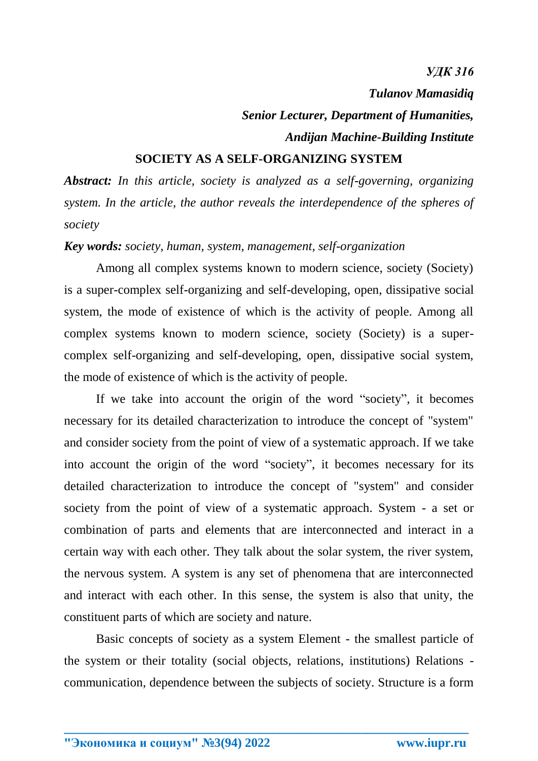#### *УДК 316*

*Tulanov Mamasidiq*

# *Senior Lecturer, Department of Humanities, Andijan Machine-Building Institute*

### **SOCIETY AS A SELF-ORGANIZING SYSTEM**

*Abstract: In this article, society is analyzed as a self-governing, organizing system. In the article, the author reveals the interdependence of the spheres of society*

#### *Key words: society, human, system, management, self-organization*

Among all complex systems known to modern science, society (Society) is a super-complex self-organizing and self-developing, open, dissipative social system, the mode of existence of which is the activity of people. Among all complex systems known to modern science, society (Society) is a supercomplex self-organizing and self-developing, open, dissipative social system, the mode of existence of which is the activity of people.

If we take into account the origin of the word "society", it becomes necessary for its detailed characterization to introduce the concept of "system" and consider society from the point of view of a systematic approach. If we take into account the origin of the word "society", it becomes necessary for its detailed characterization to introduce the concept of "system" and consider society from the point of view of a systematic approach. System - a set or combination of parts and elements that are interconnected and interact in a certain way with each other. They talk about the solar system, the river system, the nervous system. A system is any set of phenomena that are interconnected and interact with each other. In this sense, the system is also that unity, the constituent parts of which are society and nature.

Basic concepts of society as a system Element - the smallest particle of the system or their totality (social objects, relations, institutions) Relations communication, dependence between the subjects of society. Structure is a form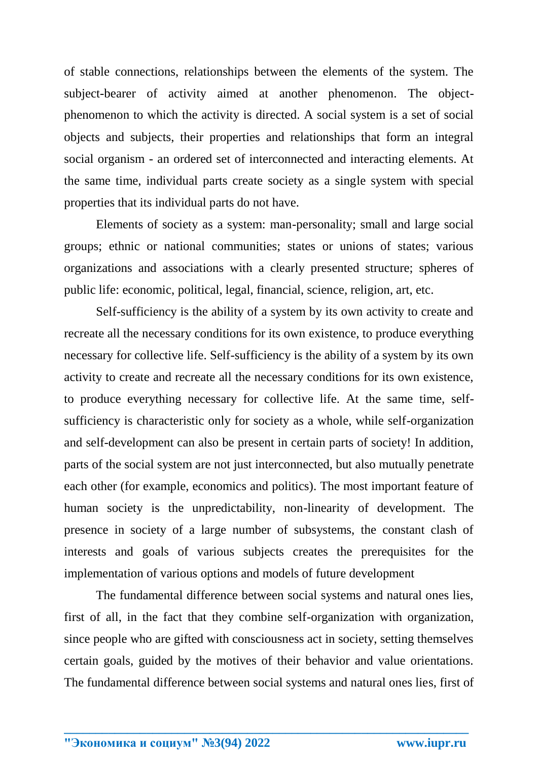of stable connections, relationships between the elements of the system. The subject-bearer of activity aimed at another phenomenon. The objectphenomenon to which the activity is directed. A social system is a set of social objects and subjects, their properties and relationships that form an integral social organism - an ordered set of interconnected and interacting elements. At the same time, individual parts create society as a single system with special properties that its individual parts do not have.

Elements of society as a system: man-personality; small and large social groups; ethnic or national communities; states or unions of states; various organizations and associations with a clearly presented structure; spheres of public life: economic, political, legal, financial, science, religion, art, etc.

Self-sufficiency is the ability of a system by its own activity to create and recreate all the necessary conditions for its own existence, to produce everything necessary for collective life. Self-sufficiency is the ability of a system by its own activity to create and recreate all the necessary conditions for its own existence, to produce everything necessary for collective life. At the same time, selfsufficiency is characteristic only for society as a whole, while self-organization and self-development can also be present in certain parts of society! In addition, parts of the social system are not just interconnected, but also mutually penetrate each other (for example, economics and politics). The most important feature of human society is the unpredictability, non-linearity of development. The presence in society of a large number of subsystems, the constant clash of interests and goals of various subjects creates the prerequisites for the implementation of various options and models of future development

The fundamental difference between social systems and natural ones lies, first of all, in the fact that they combine self-organization with organization, since people who are gifted with consciousness act in society, setting themselves certain goals, guided by the motives of their behavior and value orientations. The fundamental difference between social systems and natural ones lies, first of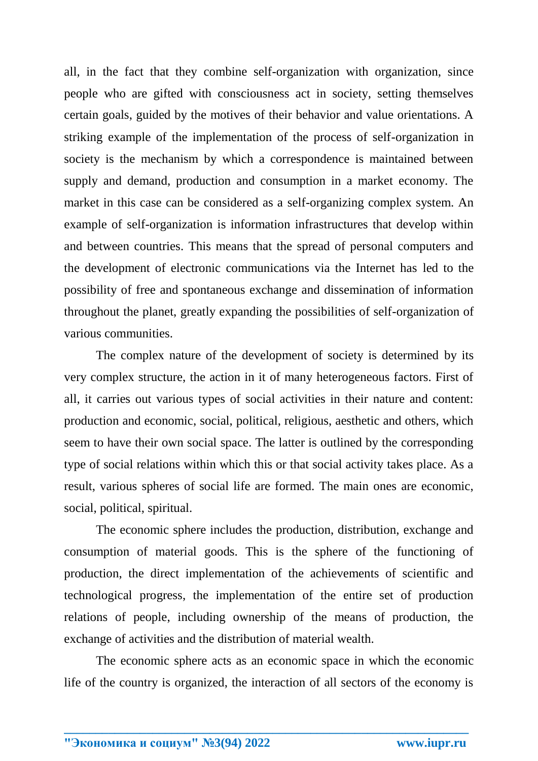all, in the fact that they combine self-organization with organization, since people who are gifted with consciousness act in society, setting themselves certain goals, guided by the motives of their behavior and value orientations. A striking example of the implementation of the process of self-organization in society is the mechanism by which a correspondence is maintained between supply and demand, production and consumption in a market economy. The market in this case can be considered as a self-organizing complex system. An example of self-organization is information infrastructures that develop within and between countries. This means that the spread of personal computers and the development of electronic communications via the Internet has led to the possibility of free and spontaneous exchange and dissemination of information throughout the planet, greatly expanding the possibilities of self-organization of various communities.

The complex nature of the development of society is determined by its very complex structure, the action in it of many heterogeneous factors. First of all, it carries out various types of social activities in their nature and content: production and economic, social, political, religious, aesthetic and others, which seem to have their own social space. The latter is outlined by the corresponding type of social relations within which this or that social activity takes place. As a result, various spheres of social life are formed. The main ones are economic, social, political, spiritual.

The economic sphere includes the production, distribution, exchange and consumption of material goods. This is the sphere of the functioning of production, the direct implementation of the achievements of scientific and technological progress, the implementation of the entire set of production relations of people, including ownership of the means of production, the exchange of activities and the distribution of material wealth.

The economic sphere acts as an economic space in which the economic life of the country is organized, the interaction of all sectors of the economy is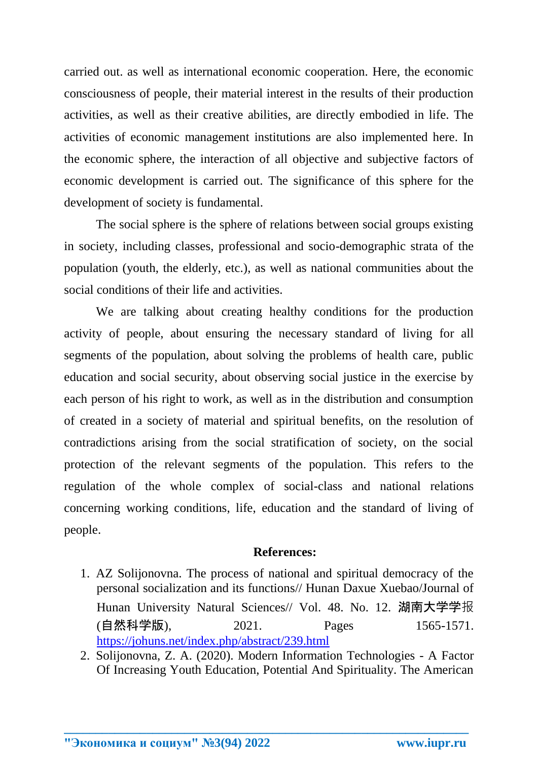carried out. as well as international economic cooperation. Here, the economic consciousness of people, their material interest in the results of their production activities, as well as their creative abilities, are directly embodied in life. The activities of economic management institutions are also implemented here. In the economic sphere, the interaction of all objective and subjective factors of economic development is carried out. The significance of this sphere for the development of society is fundamental.

The social sphere is the sphere of relations between social groups existing in society, including classes, professional and socio-demographic strata of the population (youth, the elderly, etc.), as well as national communities about the social conditions of their life and activities.

We are talking about creating healthy conditions for the production activity of people, about ensuring the necessary standard of living for all segments of the population, about solving the problems of health care, public education and social security, about observing social justice in the exercise by each person of his right to work, as well as in the distribution and consumption of created in a society of material and spiritual benefits, on the resolution of contradictions arising from the social stratification of society, on the social protection of the relevant segments of the population. This refers to the regulation of the whole complex of social-class and national relations concerning working conditions, life, education and the standard of living of people.

## **References:**

- 1. AZ Solijonovna. The process of national and spiritual democracy of the personal socialization and its functions// Hunan Daxue Xuebao/Journal of Hunan University Natural Sciences// Vol. 48. No. 12. 湖南大学学报 (自然科学版), 2021. Pages 1565-1571. <https://johuns.net/index.php/abstract/239.html>
- 2. Solijonovna, Z. A. (2020). Modern Information Technologies A Factor Of Increasing Youth Education, Potential And Spirituality. The American